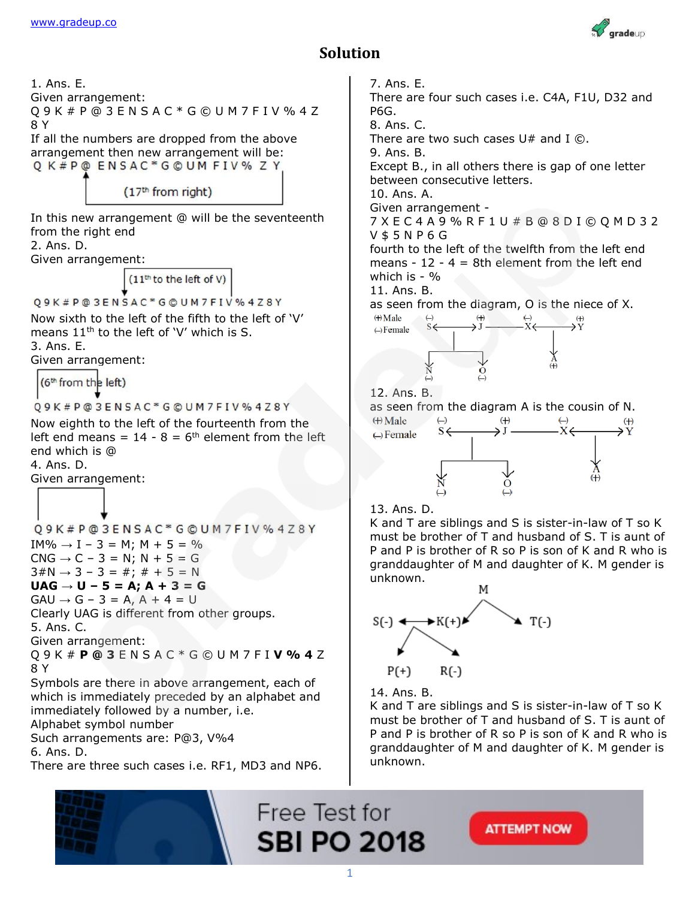

## **Solution**

1. Ans. E. Given arrangement: Q 9 K # P @ 3 E N S A C \* G © U M 7 F I V % 4 Z 8 Y If all the numbers are dropped from the above arrangement then new arrangement will be: Q K#P@ ENSAC\*G@UM FIV% Z Y  $(17<sup>th</sup>$  from right) In this new arrangement @ will be the seventeenth from the right end 2. Ans. D. Given arrangement: (11th to the left of V) Q9K#P@3ENSAC\*G@UM7FIV%4Z8Y Now sixth to the left of the fifth to the left of 'V' means  $11<sup>th</sup>$  to the left of 'V' which is S. 3. Ans. E. Given arrangement: (6<sup>th</sup> from the left) Q9K#P@3ENSAC\*G©UM7FIV%4Z8Y Now eighth to the left of the fourteenth from the left end means =  $14 - 8 = 6$ <sup>th</sup> element from the left end which is @ 4. Ans. D. Given arrangement: Q9K#P@3ENSAC\*G@UM7FIV%4Z8Y  $IM\% \rightarrow I - 3 = M; M + 5 = \%$  $CNG \rightarrow C - 3 = N$ ;  $N + 5 = G$  $3 \# N \rightarrow 3 - 3 = #; # + 5 = N$ **UAG → U – 5 = A; A + 3 = G**  $GAU \rightarrow G - 3 = A$ ,  $A + 4 = U$ Clearly UAG is different from other groups. 5. Ans. C. Given arrangement: Q 9 K # **P @ 3** E N S A C \* G © U M 7 F I **V % 4** Z 8 Y Symbols are there in above arrangement, each of which is immediately preceded by an alphabet and immediately followed by a number, i.e. Alphabet symbol number Such arrangements are: P@3, V%4 6. Ans. D. There are three such cases i.e. RF1, MD3 and NP6.

7. Ans. E. There are four such cases i.e. C4A, F1U, D32 and P6G. 8. Ans. C. There are two such cases  $U#$  and I  $\odot$ . 9. Ans. B. Except B., in all others there is gap of one letter between consecutive letters. 10. Ans. A. Given arrangement - 7 X E C 4 A 9 % R F 1 U # B @ 8 D I © Q M D 3 2 V \$ 5 N P 6 G fourth to the left of the twelfth from the left end means -  $12 - 4 = 8$ th element from the left end which is - % 11. Ans. B. as seen from the diagram, O is the niece of X.<br>  $\begin{array}{cc}\n\oplus \\
\oplus \\
\oplus \\
\end{array}$  $\begin{array}{ccc}\n\leftrightarrow & & \leftrightarrow & \leftrightarrow \\
\hline\nS & & \xrightarrow{\ast} & & \xrightarrow{\ast} & \xrightarrow{\ast} & \xrightarrow{\ast} \\
\end{array}$  $\leftrightarrow$ Female 12. Ans. B. as seen from the diagram A is the cousin of N.  $\leftrightarrow$  Male  $s \leftarrow$  $\leftrightarrow$ Female 13. Ans. D. K and T are siblings and S is sister-in-law of T so K must be brother of T and husband of S. T is aunt of P and P is brother of R so P is son of K and R who is granddaughter of M and daughter of K. M gender is



14. Ans. B.

K and T are siblings and S is sister-in-law of T so K must be brother of T and husband of S. T is aunt of P and P is brother of R so P is son of K and R who is granddaughter of M and daughter of K. M gender is unknown.

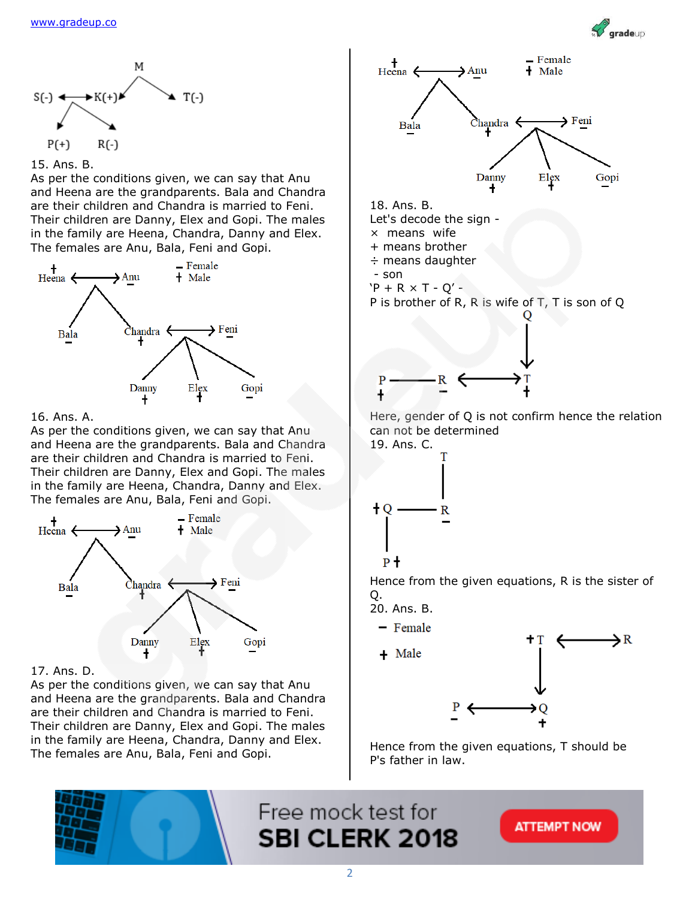





As per the conditions given, we can say that Anu and Heena are the grandparents. Bala and Chandra are their children and Chandra is married to Feni. Their children are Danny, Elex and Gopi. The males in the family are Heena, Chandra, Danny and Elex. The females are Anu, Bala, Feni and Gopi.



## 16. Ans. A.

As per the conditions given, we can say that Anu and Heena are the grandparents. Bala and Chandra are their children and Chandra is married to Feni. Their children are Danny, Elex and Gopi. The males in the family are Heena, Chandra, Danny and Elex. The females are Anu, Bala, Feni and Gopi.



## 17. Ans. D.

As per the conditions given, we can say that Anu and Heena are the grandparents. Bala and Chandra are their children and Chandra is married to Feni. Their children are Danny, Elex and Gopi. The males in the family are Heena, Chandra, Danny and Elex. The females are Anu, Bala, Feni and Gopi.



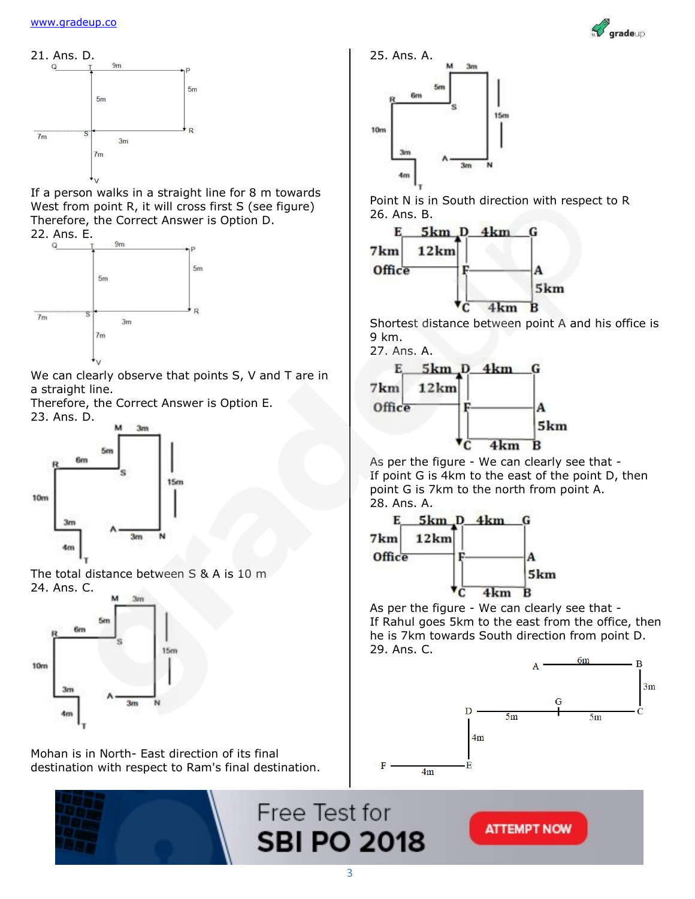



Mohan is in North- East direction of its final destination with respect to Ram's final destination.



Point N is in South direction with respect to R 26. Ans. B.



Shortest distance between point A and his office is 9 km.



As per the figure - We can clearly see that - If point G is 4km to the east of the point D, then point G is 7km to the north from point A. 28. Ans. A.



As per the figure - We can clearly see that - If Rahul goes 5km to the east from the office, then he is 7km towards South direction from point D. 29. Ans. C.



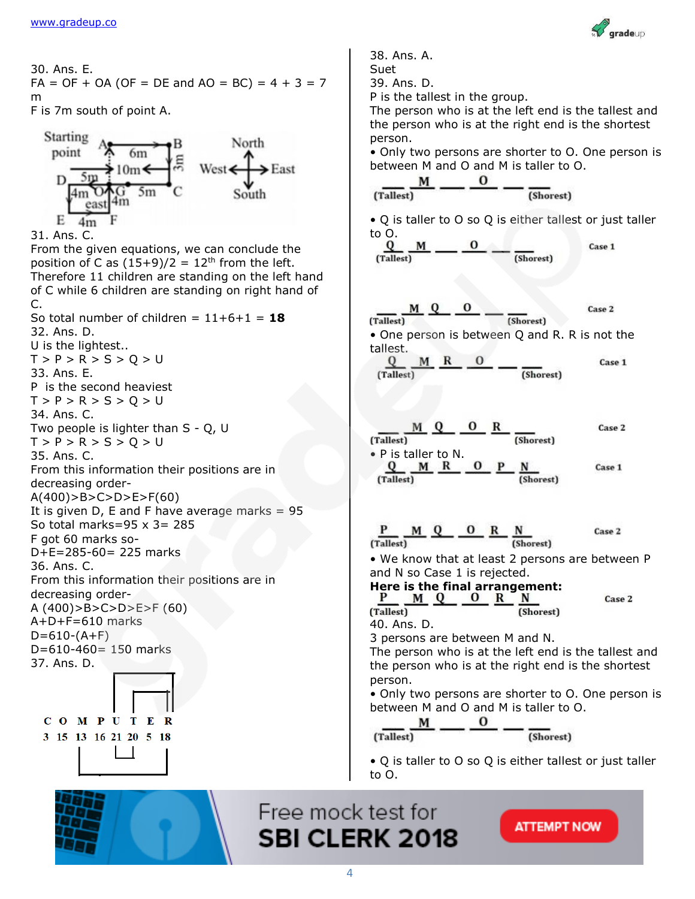COMPUTER 3 15 13 16 21 20 5 18



Case 1

Case 2

Case 1

38. Ans. A. 30. Ans. E. Suet  $FA = OF + OA (OF = DE and AO = BC) = 4 + 3 = 7$ 39. Ans. D. P is the tallest in the group. m The person who is at the left end is the tallest and F is 7m south of point A. the person who is at the right end is the shortest **Starting** person. North point • Only two persons are shorter to O. One person is  $6m$ West  $\xrightarrow{\text{East}}$ between M and O and M is taller to O.  $\frac{M}{(\text{rallest})}$   $\frac{O}{\text{rallest}}$   $\frac{O}{(\text{Short})}$ east • Q is taller to O so Q is either tallest or just taller  $E = 4m$ 31. Ans. C. to O.<br> $Q$   $M$ <br>(Tallest) From the given equations, we can conclude the position of C as  $(15+9)/2 = 12$ <sup>th</sup> from the left. Therefore 11 children are standing on the left hand of C while 6 children are standing on right hand of C. So total number of children =  $11+6+1 = 18$ (Tallest) 32. Ans. D. • One person is between Q and R. R is not the U is the lightest.. tallest.<br> $\underline{Q}$   $\underline{M}$   $\underline{R}$   $\underline{O}$   $\underline{R}$   $\underline{S}$  $T > P > R > S > Q > U$ 33. Ans. E. (Tallest) P is the second heaviest  $T > P > R > S > Q > U$ 34. Ans. C. Two people is lighter than S - Q, U  $T > P > R > S > Q > U$ 35. Ans. C. From this information their positions are in decreasing order- $A(400)$ >B>C>D>E>F(60) It is given D, E and F have average marks  $= 95$ So total marks=95  $\times$  3= 285 F got 60 marks so-D+E=285-60= 225 marks 36. Ans. C. From this information their positions are in decreasing order-A (400)>B>C>D>E>F (60) (Tallest) A+D+F=610 marks  $D=610-(A+F)$ D=610-460= 150 marks 37. Ans. D. person.

 $\underline{\frac{M}{(\text{Tallest})}}$   $\underline{\frac{Q}{Q}}$   $\underline{\frac{O}{Q}}$   $\underline{\frac{R}{(\text{Short})}}$ Case 2 • P is taller to N.<br> $Q \t M R \t 0 \t P \t N$ <br>(Tallact) Case 1 (Tallest)  $\underbrace{P \qquad M \ Q \qquad O \qquad R \qquad N}_{(Tallest)}$ Case 2 • We know that at least 2 persons are between P and N so Case 1 is rejected. Here is the final arrangement:<br>P M Q O R N Case 2 40. Ans. D. 3 persons are between M and N. The person who is at the left end is the tallest and the person who is at the right end is the shortest • Only two persons are shorter to O. One person is between M and O and M is taller to O.  $\frac{M}{(\text{rallest})}$   $\frac{O}{\text{r shortest}}$   $\frac{O}{(\text{Short})}$ 

 $-\frac{1}{(Short)}$ 

(Shorest)

• Q is taller to O so Q is either tallest or just taller to O.



**ATTEMPT NOW**